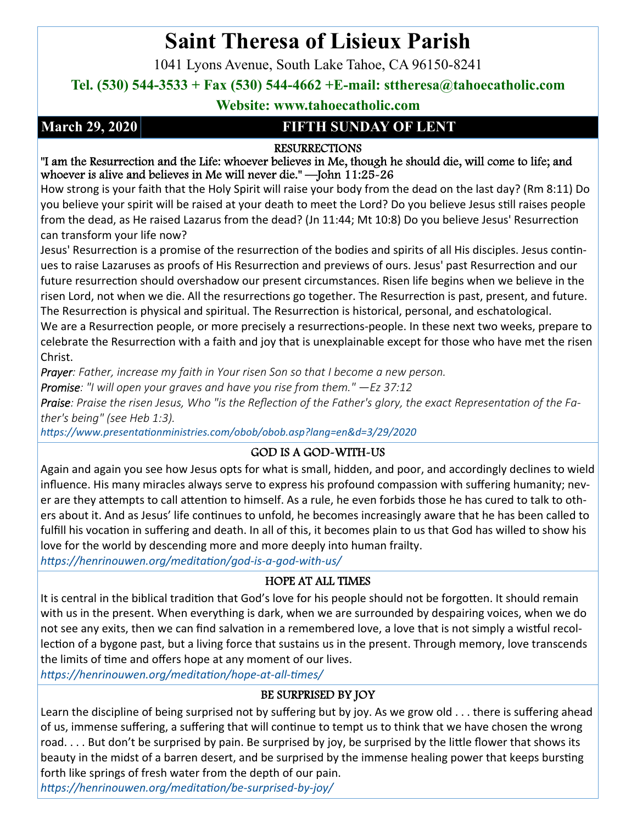# **Saint Theresa of Lisieux Parish**

1041 Lyons Avenue, South Lake Tahoe, CA 96150-8241

**Tel. (530) 544-3533 + Fax (530) 544-4662 +E-mail: sttheresa@tahoecatholic.com** 

**Website: www.tahoecatholic.com** 

# **March 29, 2020 FIFTH SUNDAY OF LENT**

# RESURRECTIONS

## "I am the Resurrection and the Life: whoever believes in Me, though he should die, will come to life; and whoever is alive and believes in Me will never die." —John 11:25-26

How strong is your faith that the Holy Spirit will raise your body from the dead on the last day? (Rm 8:11) Do you believe your spirit will be raised at your death to meet the Lord? Do you believe Jesus still raises people from the dead, as He raised Lazarus from the dead? (Jn 11:44; Mt 10:8) Do you believe Jesus' Resurrection can transform your life now?

Jesus' Resurrection is a promise of the resurrection of the bodies and spirits of all His disciples. Jesus continues to raise Lazaruses as proofs of His Resurrection and previews of ours. Jesus' past Resurrection and our future resurrection should overshadow our present circumstances. Risen life begins when we believe in the risen Lord, not when we die. All the resurrections go together. The Resurrection is past, present, and future. The Resurrection is physical and spiritual. The Resurrection is historical, personal, and eschatological.

We are a Resurrection people, or more precisely a resurrections-people. In these next two weeks, prepare to celebrate the Resurrection with a faith and joy that is unexplainable except for those who have met the risen Christ.

*Prayer: Father, increase my faith in Your risen Son so that I become a new person.* 

*Promise: "I will open your graves and have you rise from them." —Ez 37:12* 

*Praise: Praise the risen Jesus, Who "is the Reflection of the Father's glory, the exact Representation of the Father's being" (see Heb 1:3).* 

*hƩps://www.presentaƟonministries.com/obob/obob.asp?lang=en&d=3/29/2020*

# GOD IS A GOD-WITH-US

Again and again you see how Jesus opts for what is small, hidden, and poor, and accordingly declines to wield influence. His many miracles always serve to express his profound compassion with suffering humanity; never are they attempts to call attention to himself. As a rule, he even forbids those he has cured to talk to others about it. And as Jesus' life continues to unfold, he becomes increasingly aware that he has been called to fulfill his vocation in suffering and death. In all of this, it becomes plain to us that God has willed to show his love for the world by descending more and more deeply into human frailty.

*hƩps://henrinouwen.org/meditaƟon/god‐is‐a‐god‐with‐us/* 

# HOPE AT ALL TIMES

It is central in the biblical tradition that God's love for his people should not be forgotten. It should remain with us in the present. When everything is dark, when we are surrounded by despairing voices, when we do not see any exits, then we can find salvation in a remembered love, a love that is not simply a wistful recollection of a bygone past, but a living force that sustains us in the present. Through memory, love transcends the limits of time and offers hope at any moment of our lives.

*hƩps://henrinouwen.org/meditaƟon/hope‐at‐all‐Ɵmes/* 

# BE SURPRISED BY JOY

Learn the discipline of being surprised not by suffering but by joy. As we grow old . . . there is suffering ahead of us, immense suffering, a suffering that will continue to tempt us to think that we have chosen the wrong road. . . . But don't be surprised by pain. Be surprised by joy, be surprised by the little flower that shows its beauty in the midst of a barren desert, and be surprised by the immense healing power that keeps bursting forth like springs of fresh water from the depth of our pain.

*hƩps://henrinouwen.org/meditaƟon/be‐surprised‐by‐joy/*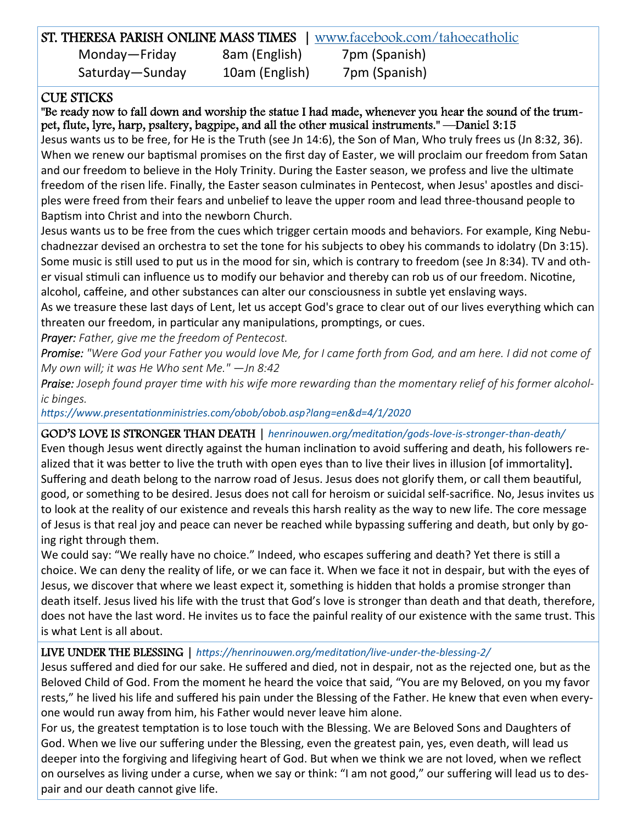# ST. THERESA PARISH ONLINE MASS TIMES | www.facebook.com/tahoecatholic Monday—Friday 8am (English) 7pm (Spanish)

Saturday—Sunday 10am (English) 7pm (Spanish)

## CUE STICKS

"Be ready now to fall down and worship the statue I had made, whenever you hear the sound of the trumpet, flute, lyre, harp, psaltery, bagpipe, and all the other musical instruments." —Daniel 3:15

Jesus wants us to be free, for He is the Truth (see Jn 14:6), the Son of Man, Who truly frees us (Jn 8:32, 36). When we renew our baptismal promises on the first day of Easter, we will proclaim our freedom from Satan and our freedom to believe in the Holy Trinity. During the Easter season, we profess and live the ultimate freedom of the risen life. Finally, the Easter season culminates in Pentecost, when Jesus' apostles and disciples were freed from their fears and unbelief to leave the upper room and lead three-thousand people to Baptism into Christ and into the newborn Church.

Jesus wants us to be free from the cues which trigger certain moods and behaviors. For example, King Nebuchadnezzar devised an orchestra to set the tone for his subjects to obey his commands to idolatry (Dn 3:15). Some music is still used to put us in the mood for sin, which is contrary to freedom (see Jn 8:34). TV and other visual stimuli can influence us to modify our behavior and thereby can rob us of our freedom. Nicotine, alcohol, caffeine, and other substances can alter our consciousness in subtle yet enslaving ways.

As we treasure these last days of Lent, let us accept God's grace to clear out of our lives everything which can threaten our freedom, in particular any manipulations, promptings, or cues.

*Prayer: Father, give me the freedom of Pentecost.* 

*Promise: "Were God your Father you would love Me, for I came forth from God, and am here. I did not come of My own will; it was He Who sent Me." —Jn 8:42* 

**Praise:** Joseph found prayer time with his wife more rewarding than the momentary relief of his former alcohol*ic binges.* 

*hƩps://www.presentaƟonministries.com/obob/obob.asp?lang=en&d=4/1/2020* 

GOD'S LOVE IS STRONGER THAN DEATH | *henrinouwen.org/meditaƟon/gods‐love‐is‐stronger‐than‐death/*

Even though Jesus went directly against the human inclination to avoid suffering and death, his followers realized that it was better to live the truth with open eyes than to live their lives in illusion [of immortality]. Suffering and death belong to the narrow road of Jesus. Jesus does not glorify them, or call them beautiful, good, or something to be desired. Jesus does not call for heroism or suicidal self-sacrifice. No, Jesus invites us to look at the reality of our existence and reveals this harsh reality as the way to new life. The core message of Jesus is that real joy and peace can never be reached while bypassing suffering and death, but only by going right through them.

We could say: "We really have no choice." Indeed, who escapes suffering and death? Yet there is still a choice. We can deny the reality of life, or we can face it. When we face it not in despair, but with the eyes of Jesus, we discover that where we least expect it, something is hidden that holds a promise stronger than death itself. Jesus lived his life with the trust that God's love is stronger than death and that death, therefore, does not have the last word. He invites us to face the painful reality of our existence with the same trust. This is what Lent is all about.

### LIVE UNDER THE BLESSING | *hƩps://henrinouwen.org/meditaƟon/live‐under‐the‐blessing‐2/*

Jesus suffered and died for our sake. He suffered and died, not in despair, not as the rejected one, but as the Beloved Child of God. From the moment he heard the voice that said, "You are my Beloved, on you my favor rests," he lived his life and suffered his pain under the Blessing of the Father. He knew that even when everyone would run away from him, his Father would never leave him alone.

For us, the greatest temptation is to lose touch with the Blessing. We are Beloved Sons and Daughters of God. When we live our suffering under the Blessing, even the greatest pain, yes, even death, will lead us deeper into the forgiving and lifegiving heart of God. But when we think we are not loved, when we reflect on ourselves as living under a curse, when we say or think: "I am not good," our suffering will lead us to despair and our death cannot give life.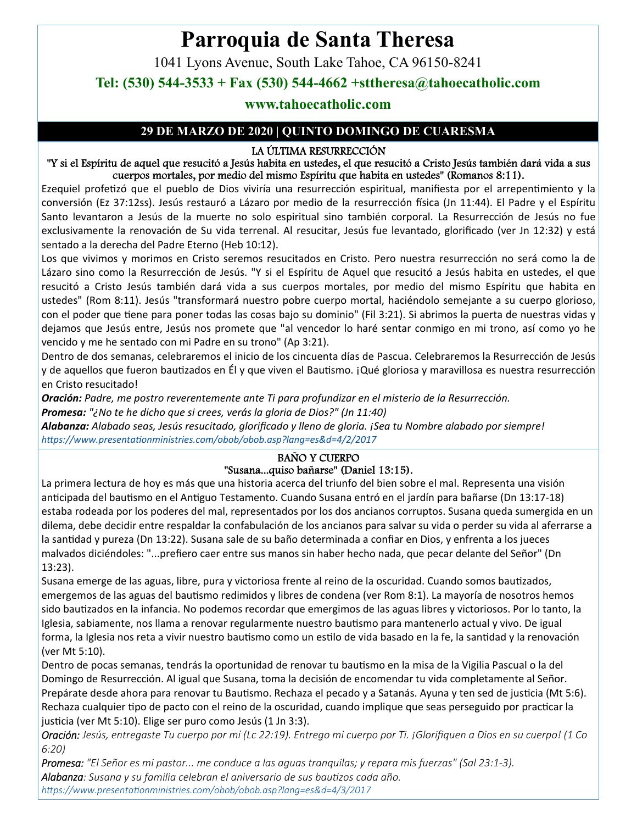# **Parroquia de Santa Theresa**

1041 Lyons Avenue, South Lake Tahoe, CA 96150-8241

**Tel: (530) 544-3533 + Fax (530) 544-4662 +sttheresa@tahoecatholic.com** 

## **www.tahoecatholic.com**

### **29 DE MARZO DE 2020 | QUINTO DOMINGO DE CUARESMA**

#### LA ÚLTIMA RESURRECCIÓN

"Y si el Espíritu de aquel que resucitó a Jesús habita en ustedes, el que resucitó a Cristo Jesús también dará vida a sus cuerpos mortales, por medio del mismo Espíritu que habita en ustedes" (Romanos 8:11).

Ezequiel profetizó que el pueblo de Dios viviría una resurrección espiritual, manifiesta por el arrepentimiento y la conversión (Ez 37:12ss). Jesús restauró a Lázaro por medio de la resurrección İsica (Jn 11:44). El Padre y el Espíritu Santo levantaron a Jesús de la muerte no solo espiritual sino también corporal. La Resurrección de Jesús no fue exclusivamente la renovación de Su vida terrenal. Al resucitar, Jesús fue levantado, glorificado (ver Jn 12:32) y está sentado a la derecha del Padre Eterno (Heb 10:12).

Los que vivimos y morimos en Cristo seremos resucitados en Cristo. Pero nuestra resurrección no será como la de Lázaro sino como la Resurrección de Jesús. "Y si el Espíritu de Aquel que resucitó a Jesús habita en ustedes, el que resucitó a Cristo Jesús también dará vida a sus cuerpos mortales, por medio del mismo Espíritu que habita en ustedes" (Rom 8:11). Jesús "transformará nuestro pobre cuerpo mortal, haciéndolo semejante a su cuerpo glorioso, con el poder que tiene para poner todas las cosas bajo su dominio" (Fil 3:21). Si abrimos la puerta de nuestras vidas y dejamos que Jesús entre, Jesús nos promete que "al vencedor lo haré sentar conmigo en mi trono, así como yo he vencido y me he sentado con mi Padre en su trono" (Ap 3:21).

Dentro de dos semanas, celebraremos el inicio de los cincuenta días de Pascua. Celebraremos la Resurrección de Jesús y de aquellos que fueron bautizados en Él y que viven el Bautismo. ¡Qué gloriosa y maravillosa es nuestra resurrección en Cristo resucitado!

*Oración: Padre, me postro reverentemente ante Ti para profundizar en el misterio de la Resurrección.*

*Promesa: "¿No te he dicho que si crees, verás la gloria de Dios?" (Jn 11:40)*

Alabanza: Alabado seas, Jesús resucitado, glorificado y lleno de gloria. ¡Sea tu Nombre alabado por siempre! *hƩps://www.presentaƟonministries.com/obob/obob.asp?lang=es&d=4/2/2017* 

#### BAÑO Y CUERPO "Susana...quiso bañarse" (Daniel 13:15).

La primera lectura de hoy es más que una historia acerca del triunfo del bien sobre el mal. Representa una visión anticipada del bautismo en el Antiguo Testamento. Cuando Susana entró en el jardín para bañarse (Dn 13:17-18) estaba rodeada por los poderes del mal, representados por los dos ancianos corruptos. Susana queda sumergida en un dilema, debe decidir entre respaldar la confabulación de los ancianos para salvar su vida o perder su vida al aferrarse a la santidad y pureza (Dn 13:22). Susana sale de su baño determinada a confiar en Dios, y enfrenta a los jueces malvados diciéndoles: "...prefiero caer entre sus manos sin haber hecho nada, que pecar delante del Señor" (Dn 13:23).

Susana emerge de las aguas, libre, pura y victoriosa frente al reino de la oscuridad. Cuando somos bautizados, emergemos de las aguas del bautismo redimidos y libres de condena (ver Rom 8:1). La mayoría de nosotros hemos sido bautizados en la infancia. No podemos recordar que emergimos de las aguas libres y victoriosos. Por lo tanto, la Iglesia, sabiamente, nos llama a renovar regularmente nuestro bautismo para mantenerlo actual y vivo. De igual forma, la Iglesia nos reta a vivir nuestro bautismo como un estilo de vida basado en la fe, la santidad y la renovación (ver Mt 5:10).

Dentro de pocas semanas, tendrás la oportunidad de renovar tu bautismo en la misa de la Vigilia Pascual o la del Domingo de Resurrección. Al igual que Susana, toma la decisión de encomendar tu vida completamente al Señor. Prepárate desde ahora para renovar tu Bautismo. Rechaza el pecado y a Satanás. Ayuna y ten sed de justicia (Mt 5:6). Rechaza cualquier tipo de pacto con el reino de la oscuridad, cuando implique que seas perseguido por practicar la justicia (ver Mt 5:10). Elige ser puro como Jesús (1 Jn 3:3).

*Oración: Jesús, entregaste Tu cuerpo por mí (Lc 22:19). Entrego mi cuerpo por Ti. ¡Glorifiquen a Dios en su cuerpo! (1 Co 6:20)* 

*Promesa: "El Señor es mi pastor... me conduce a las aguas tranquilas; y repara mis fuerzas" (Sal 23:1-3). Alabanza: Susana y su familia celebran el aniversario de sus bauƟzos cada año. hƩps://www.presentaƟonministries.com/obob/obob.asp?lang=es&d=4/3/2017*